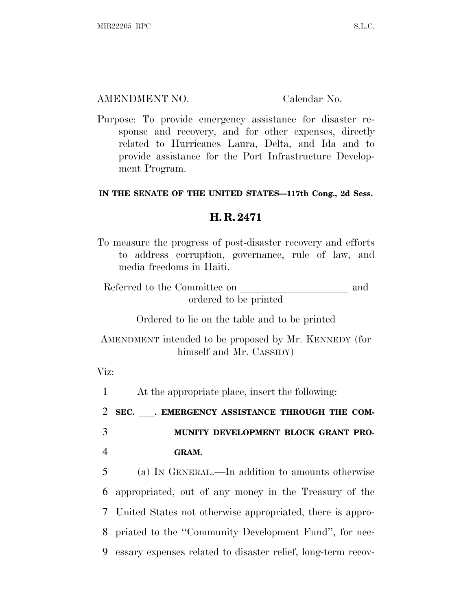AMENDMENT NO. Calendar No.

Purpose: To provide emergency assistance for disaster response and recovery, and for other expenses, directly related to Hurricanes Laura, Delta, and Ida and to provide assistance for the Port Infrastructure Development Program.

## **IN THE SENATE OF THE UNITED STATES—117th Cong., 2d Sess.**

## **H. R. 2471**

To measure the progress of post-disaster recovery and efforts to address corruption, governance, rule of law, and media freedoms in Haiti.

Referred to the Committee on and ordered to be printed

Ordered to lie on the table and to be printed

AMENDMENT intended to be proposed by Mr. KENNEDY (for himself and Mr. CASSIDY)

Viz:

1 At the appropriate place, insert the following:

<sup>2</sup> **SEC.** ll**. EMERGENCY ASSISTANCE THROUGH THE COM-**

3 **MUNITY DEVELOPMENT BLOCK GRANT PRO-**4 **GRAM.**

 (a) I<sup>N</sup> GENERAL.—In addition to amounts otherwise appropriated, out of any money in the Treasury of the United States not otherwise appropriated, there is appro- priated to the ''Community Development Fund'', for nec-essary expenses related to disaster relief, long-term recov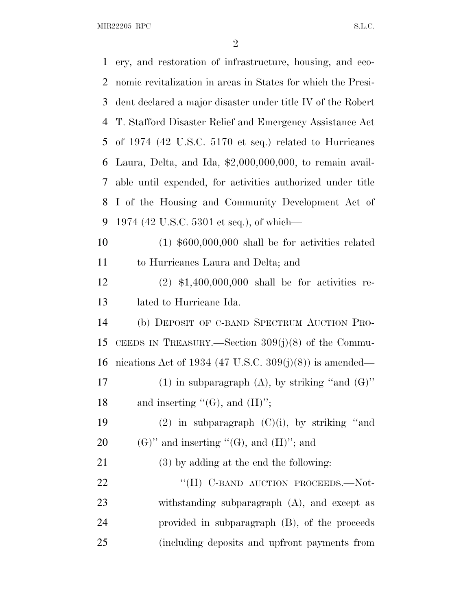$\rm MIR22205 \;\;RPC \hspace{20pt} SL. C.$ 

| $\mathbf{1}$ | ery, and restoration of infrastructure, housing, and eco-    |
|--------------|--------------------------------------------------------------|
| 2            | nomic revitalization in areas in States for which the Presi- |
| 3            | dent declared a major disaster under title IV of the Robert  |
| 4            | T. Stafford Disaster Relief and Emergency Assistance Act     |
| 5            | of 1974 (42 U.S.C. 5170 et seq.) related to Hurricanes       |
| 6            | Laura, Delta, and Ida, $$2,000,000,000$ , to remain avail-   |
| 7            | able until expended, for activities authorized under title   |
| 8            | I of the Housing and Community Development Act of            |
| 9            | 1974 (42 U.S.C. 5301 et seq.), of which—                     |
| 10           | $(1)$ \$600,000,000 shall be for activities related          |
| 11           | to Hurricanes Laura and Delta; and                           |
| 12           | $(2)$ \$1,400,000,000 shall be for activities re-            |
| 13           | lated to Hurricane Ida.                                      |
| 14           | (b) DEPOSIT OF C-BAND SPECTRUM AUCTION PRO-                  |
| 15           | CEEDS IN TREASURY.—Section $309(j)(8)$ of the Commu-         |
| 16           | nications Act of 1934 (47 U.S.C. 309 $(j)(8)$ ) is amended—  |
| 17           | (1) in subparagraph (A), by striking "and $(G)$ "            |
| 18           | and inserting " $(G)$ , and $(H)$ ";                         |
| 19           | $(2)$ in subparagraph $(C)(i)$ , by striking "and            |
| 20           | $(G)$ " and inserting " $(G)$ , and $(H)$ "; and             |
| 21           | (3) by adding at the end the following:                      |
| 22           | "(H) C-BAND AUCTION PROCEEDS.-Not-                           |
| 23           | withstanding subparagraph (A), and except as                 |
| 24           | provided in subparagraph (B), of the proceeds                |
| 25           | (including deposits and upfront payments from                |